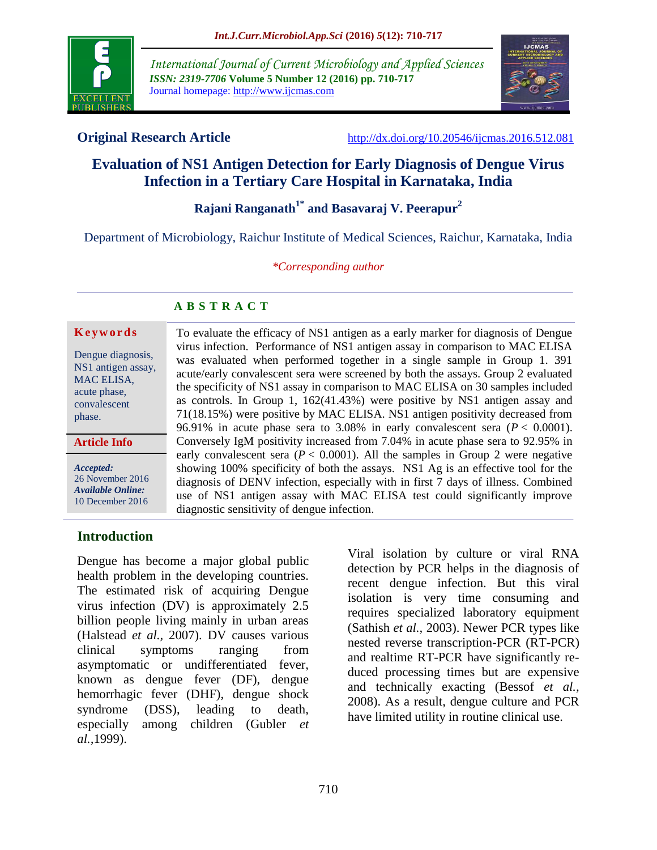

*International Journal of Current Microbiology and Applied Sciences ISSN: 2319-7706* **Volume 5 Number 12 (2016) pp. 710-717** Journal homepage: http://www.ijcmas.com



**Original Research Article** <http://dx.doi.org/10.20546/ijcmas.2016.512.081>

# **Evaluation of NS1 Antigen Detection for Early Diagnosis of Dengue Virus Infection in a Tertiary Care Hospital in Karnataka, India**

## **Rajani Ranganath1\* and Basavaraj V. Peerapur<sup>2</sup>**

Department of Microbiology, Raichur Institute of Medical Sciences, Raichur, Karnataka, India

*\*Corresponding author*

#### **A B S T R A C T**

#### **K e y w o r d s**

Dengue diagnosis, NS1 antigen assay, MAC ELISA, acute phase, convalescent phase.

**Article Info**

*Accepted:*  26 November 2016 *Available Online:* 10 December 2016

To evaluate the efficacy of NS1 antigen as a early marker for diagnosis of Dengue virus infection.Performance of NS1 antigen assay in comparison to MAC ELISA was evaluated when performed together in a single sample in Group 1. 391 acute/early convalescent sera were screened by both the assays. Group 2 evaluated the specificity of NS1 assay in comparison to MAC ELISA on 30 samples included as controls. In Group 1, 162(41.43%) were positive by NS1 antigen assay and 71(18.15%) were positive by MAC ELISA. NS1 antigen positivity decreased from 96.91% in acute phase sera to 3.08% in early convalescent sera  $(P < 0.0001)$ . Conversely IgM positivity increased from 7.04% in acute phase sera to 92.95% in early convalescent sera  $(P < 0.0001)$ . All the samples in Group 2 were negative showing 100% specificity of both the assays. NS1 Ag is an effective tool for the diagnosis of DENV infection, especially with in first 7 days of illness. Combined use of NS1 antigen assay with MAC ELISA test could significantly improve diagnostic sensitivity of dengue infection.

#### **Introduction**

Dengue has become a major global public health problem in the developing countries. The estimated risk of acquiring Dengue virus infection (DV) is approximately 2.5 billion people living mainly in urban areas (Halstead *et al.,* 2007). DV causes various clinical symptoms ranging from asymptomatic or undifferentiated fever, known as dengue fever (DF), dengue hemorrhagic fever (DHF), dengue shock syndrome (DSS), leading to death, especially among children (Gubler *et al.,*1999).

Viral isolation by culture or viral RNA detection by PCR helps in the diagnosis of recent dengue infection. But this viral isolation is very time consuming and requires specialized laboratory equipment (Sathish *et al.,* 2003). Newer PCR types like nested reverse transcription-PCR (RT-PCR) and realtime RT-PCR have significantly reduced processing times but are expensive and technically exacting (Bessof *et al.,* 2008). As a result, dengue culture and PCR have limited utility in routine clinical use.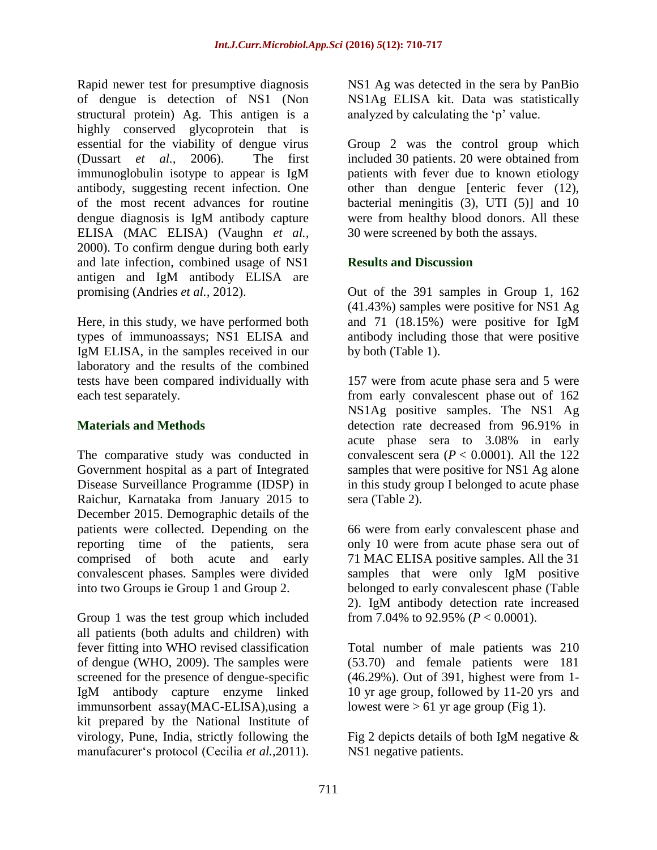Rapid newer test for presumptive diagnosis of dengue is detection of NS1 (Non structural protein) Ag. This antigen is a highly conserved glycoprotein that is essential for the viability of dengue virus (Dussart *et al.,* 2006). The first immunoglobulin isotype to appear is IgM antibody, suggesting recent infection. One of the most recent advances for routine dengue diagnosis is IgM antibody capture ELISA (MAC ELISA) (Vaughn *et al.,* 2000). To confirm dengue during both early and late infection, combined usage of NS1 antigen and IgM antibody ELISA are promising (Andries *et al.,* 2012).

Here, in this study, we have performed both types of immunoassays; NS1 ELISA and IgM ELISA, in the samples received in our laboratory and the results of the combined tests have been compared individually with each test separately.

#### **Materials and Methods**

The comparative study was conducted in Government hospital as a part of Integrated Disease Surveillance Programme (IDSP) in Raichur, Karnataka from January 2015 to December 2015. Demographic details of the patients were collected. Depending on the reporting time of the patients, sera comprised of both acute and early convalescent phases. Samples were divided into two Groups ie Group 1 and Group 2.

Group 1 was the test group which included all patients (both adults and children) with fever fitting into WHO revised classification of dengue (WHO, 2009). The samples were screened for the presence of dengue-specific IgM antibody capture enzyme linked immunsorbent assay(MAC-ELISA),using a kit prepared by the National Institute of virology, Pune, India, strictly following the manufacurer's protocol (Cecilia *et al.,*2011).

NS1 Ag was detected in the sera by PanBio NS1Ag ELISA kit. Data was statistically analyzed by calculating the 'p' value.

Group 2 was the control group which included 30 patients. 20 were obtained from patients with fever due to known etiology other than dengue [enteric fever (12), bacterial meningitis (3), UTI (5)] and 10 were from healthy blood donors. All these 30 were screened by both the assays.

#### **Results and Discussion**

Out of the 391 samples in Group 1, 162 (41.43%) samples were positive for NS1 Ag and 71 (18.15%) were positive for IgM antibody including those that were positive by both (Table 1).

157 were from acute phase sera and 5 were from early convalescent phase out of 162 NS1Ag positive samples. The NS1 Ag detection rate decreased from 96.91% in acute phase sera to 3.08% in early convalescent sera  $(P < 0.0001)$ . All the 122 samples that were positive for NS1 Ag alone in this study group I belonged to acute phase sera (Table 2).

66 were from early convalescent phase and only 10 were from acute phase sera out of 71 MAC ELISA positive samples. All the 31 samples that were only IgM positive belonged to early convalescent phase (Table 2). IgM antibody detection rate increased from 7.04% to 92.95% (*P* < 0.0001).

Total number of male patients was 210 (53.70) and female patients were 181 (46.29%). Out of 391, highest were from 1- 10 yr age group, followed by 11-20 yrs and lowest were  $> 61$  yr age group (Fig 1).

Fig 2 depicts details of both IgM negative  $\&$ NS1 negative patients.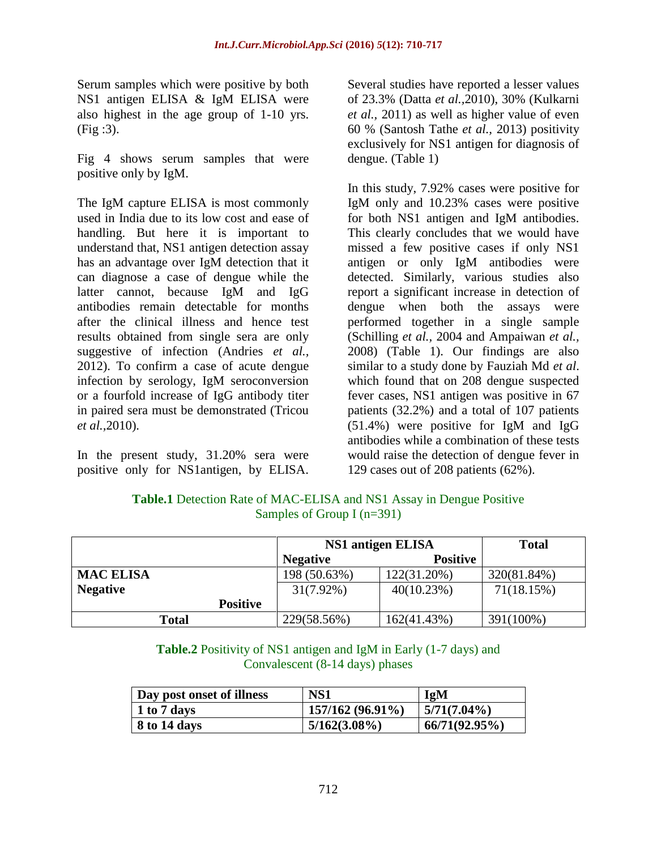Serum samples which were positive by both NS1 antigen ELISA & IgM ELISA were also highest in the age group of 1-10 yrs. (Fig :3).

Fig 4 shows serum samples that were positive only by IgM.

The IgM capture ELISA is most commonly used in India due to its low cost and ease of handling. But here it is important to understand that, NS1 antigen detection assay has an advantage over IgM detection that it can diagnose a case of dengue while the latter cannot, because IgM and IgG antibodies remain detectable for months after the clinical illness and hence test results obtained from single sera are only suggestive of infection (Andries *et al.,* 2012). To confirm a case of acute dengue infection by serology, IgM seroconversion or a fourfold increase of IgG antibody titer in paired sera must be demonstrated (Tricou *et al.,*2010).

In the present study, 31.20% sera were positive only for NS1antigen, by ELISA.

Several studies have reported a lesser values of 23.3% (Datta *et al.,*2010), 30% (Kulkarni *et al.,* 2011) as well as higher value of even 60 % (Santosh Tathe *et al.,* 2013) positivity exclusively for NS1 antigen for diagnosis of dengue. (Table 1)

In this study, 7.92% cases were positive for IgM only and 10.23% cases were positive for both NS1 antigen and IgM antibodies. This clearly concludes that we would have missed a few positive cases if only NS1 antigen or only IgM antibodies were detected. Similarly, various studies also report a significant increase in detection of dengue when both the assays were performed together in a single sample (Schilling *et al.,* 2004 and Ampaiwan *et al.,* 2008) (Table 1). Our findings are also similar to a study done by Fauziah Md *et al*. which found that on 208 dengue suspected fever cases, NS1 antigen was positive in 67 patients (32.2%) and a total of 107 patients (51.4%) were positive for IgM and IgG antibodies while a combination of these tests would raise the detection of dengue fever in 129 cases out of 208 patients (62%).

|                  |                 | NS1 antigen ELISA |                 | <b>Total</b> |
|------------------|-----------------|-------------------|-----------------|--------------|
|                  |                 | <b>Negative</b>   | <b>Positive</b> |              |
| <b>MAC ELISA</b> |                 | 198 (50.63%)      | 122(31.20%)     | 320(81.84%)  |
| <b>Negative</b>  |                 | $31(7.92\%)$      | 40(10.23%)      | 71(18.15%)   |
|                  | <b>Positive</b> |                   |                 |              |

**Table.1** Detection Rate of MAC-ELISA and NS1 Assay in Dengue Positive Samples of Group I (n=391)

**Table.2** Positivity of NS1 antigen and IgM in Early (1-7 days) and Convalescent (8-14 days) phases

**Total** 229(58.56%) 162(41.43%) 391(100%)

| Day post onset of illness | NS1              | <b>IgM</b>      |
|---------------------------|------------------|-----------------|
| 1 to 7 days               | 157/162 (96.91%) | $ 5/71(7.04\%)$ |
| 8 to 14 days              | $5/162(3.08\%)$  | 66/71(92.95%)   |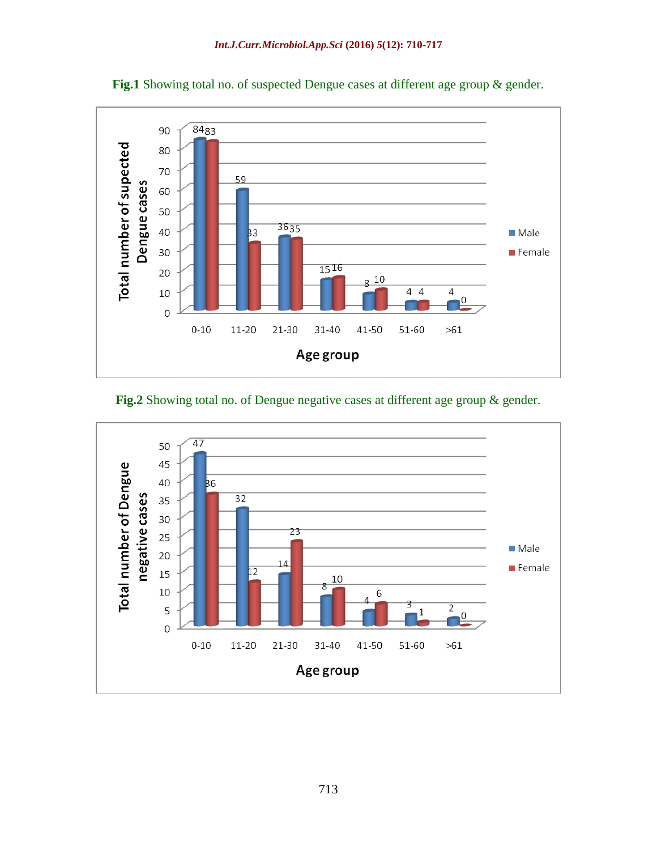

**Fig.1** Showing total no. of suspected Dengue cases at different age group & gender.



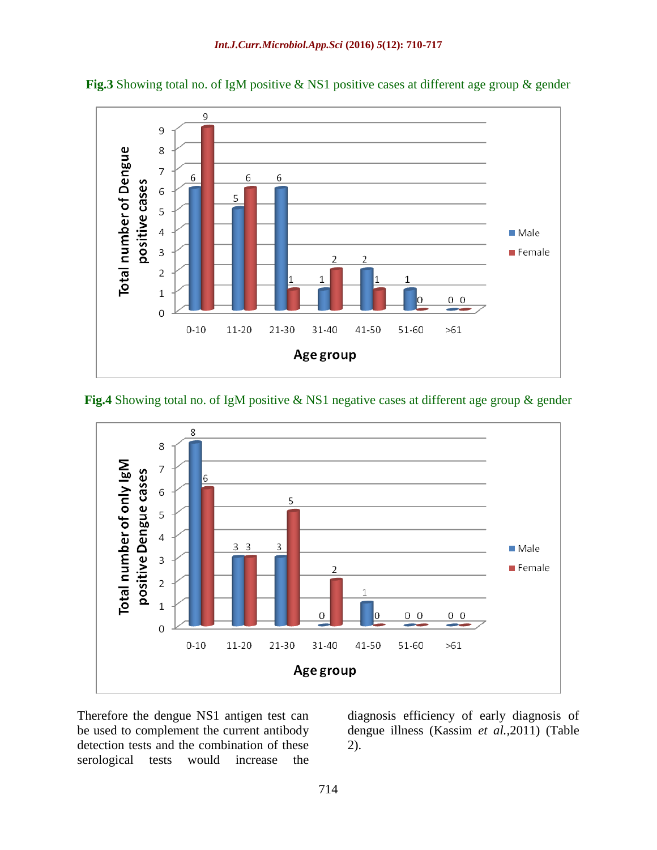

**Fig.3** Showing total no. of IgM positive & NS1 positive cases at different age group & gender

**Fig.4** Showing total no. of IgM positive & NS1 negative cases at different age group & gender



Therefore the dengue NS1 antigen test can be used to complement the current antibody detection tests and the combination of these serological tests would increase the

diagnosis efficiency of early diagnosis of dengue illness (Kassim *et al.,*2011) (Table 2).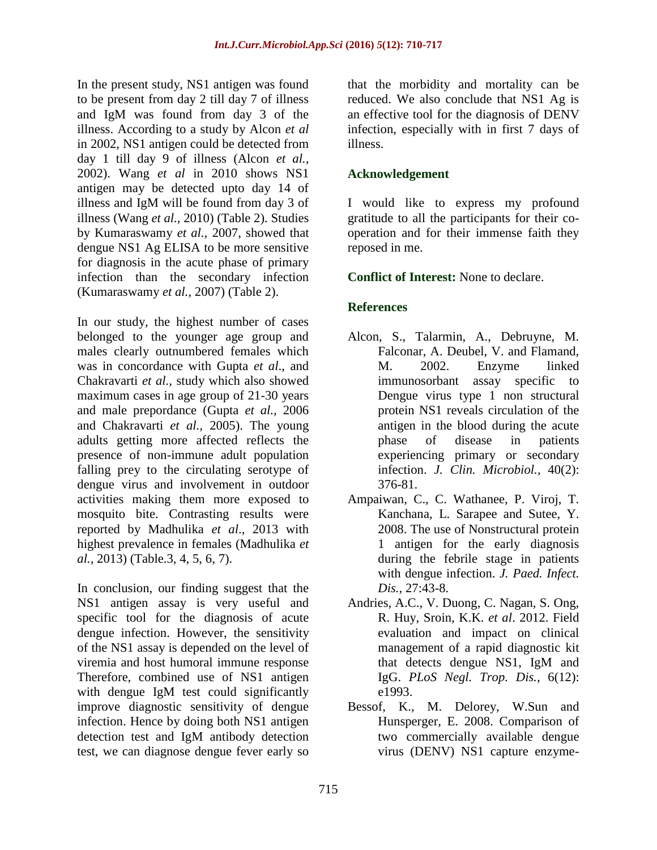In the present study, NS1 antigen was found to be present from day 2 till day 7 of illness and IgM was found from day 3 of the illness. According to a study by Alcon *et al* in 2002, NS1 antigen could be detected from day 1 till day 9 of illness (Alcon *et al.,* 2002). Wang *et al* in 2010 shows NS1 antigen may be detected upto day 14 of illness and IgM will be found from day 3 of illness (Wang *et al.,* 2010) (Table 2). Studies by Kumaraswamy *et al.,* 2007, showed that dengue NS1 Ag ELISA to be more sensitive for diagnosis in the acute phase of primary infection than the secondary infection (Kumaraswamy *et al.,* 2007) (Table 2).

In our study, the highest number of cases belonged to the younger age group and males clearly outnumbered females which was in concordance with Gupta *et al*., and Chakravarti *et al.,* study which also showed maximum cases in age group of 21-30 years and male prepordance (Gupta *et al.,* 2006 and Chakravarti *et al.,* 2005). The young adults getting more affected reflects the presence of non-immune adult population falling prey to the circulating serotype of dengue virus and involvement in outdoor activities making them more exposed to mosquito bite. Contrasting results were reported by Madhulika *et al*., 2013 with highest prevalence in females (Madhulika *et al.,* 2013) (Table.3, 4, 5, 6, 7).

In conclusion, our finding suggest that the NS1 antigen assay is very useful and specific tool for the diagnosis of acute dengue infection. However, the sensitivity of the NS1 assay is depended on the level of viremia and host humoral immune response Therefore, combined use of NS1 antigen with dengue IgM test could significantly improve diagnostic sensitivity of dengue infection. Hence by doing both NS1 antigen detection test and IgM antibody detection test, we can diagnose dengue fever early so

that the morbidity and mortality can be reduced. We also conclude that NS1 Ag is an effective tool for the diagnosis of DENV infection, especially with in first 7 days of illness.

#### **Acknowledgement**

I would like to express my profound gratitude to all the participants for their cooperation and for their immense faith they reposed in me.

#### **Conflict of Interest:** None to declare.

### **References**

- Alcon, S., Talarmin, A., Debruyne, M. Falconar, A. Deubel, V. and Flamand, M. 2002. Enzyme linked immunosorbant assay specific to Dengue virus type 1 non structural protein NS1 reveals circulation of the antigen in the blood during the acute phase of disease in patients experiencing primary or secondary infection. *J. Clin. Microbiol.,* 40(2): 376-81.
- Ampaiwan, C., C. Wathanee, P. Viroj, T. Kanchana, L. Sarapee and Sutee, Y. 2008. The use of Nonstructural protein 1 antigen for the early diagnosis during the febrile stage in patients with dengue infection. *J. Paed. Infect. Dis.,* 27:43-8.
- Andries, A.C., V. Duong, C. Nagan, S. Ong, R. Huy, Sroin, K.K. *et al*. 2012. Field evaluation and impact on clinical management of a rapid diagnostic kit that detects dengue NS1, IgM and IgG. *PLoS Negl. Trop. Dis.,* 6(12): e1993.
- Bessof, K., M. Delorey, W.Sun and Hunsperger, E. 2008. Comparison of two commercially available dengue virus (DENV) NS1 capture enzyme-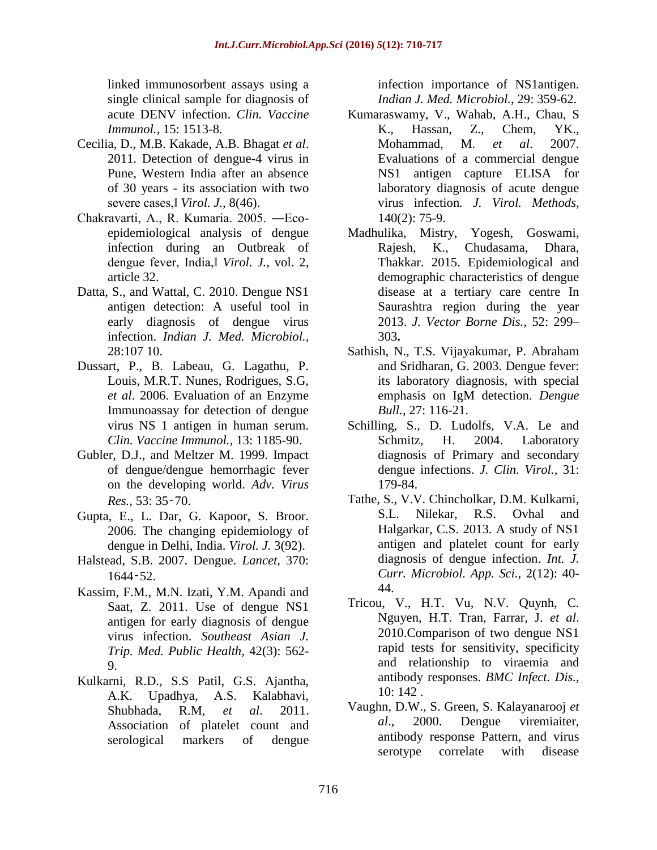linked immunosorbent assays using a single clinical sample for diagnosis of acute DENV infection. *Clin. Vaccine Immunol.,* 15: 1513-8.

- Cecilia, D., M.B. Kakade, A.B. Bhagat *et al*. 2011. Detection of dengue-4 virus in Pune, Western India after an absence of 30 years - its association with two severe cases,‖ *Virol. J.,* 8(46).
- Chakravarti, A., R. Kumaria. 2005. ―Ecoepidemiological analysis of dengue infection during an Outbreak of dengue fever, India,‖ *Virol. J.,* vol. 2, article 32.
- Datta, S., and Wattal, C. 2010. Dengue NS1 antigen detection: A useful tool in early diagnosis of dengue virus infection. *Indian J. Med. Microbiol.,* 28:107 10.
- Dussart, P., B. Labeau, G. Lagathu, P. Louis, M.R.T. Nunes, Rodrigues, S.G, *et al*. 2006. Evaluation of an Enzyme Immunoassay for detection of dengue virus NS 1 antigen in human serum. *Clin. Vaccine Immunol.,* 13: 1185-90.
- Gubler, D.J., and Meltzer M. 1999. Impact of dengue/dengue hemorrhagic fever on the developing world. *Adv. Virus Res.,* 53: 35‑70.
- Gupta, E., L. Dar, G. Kapoor, S. Broor. 2006. The changing epidemiology of dengue in Delhi, India. *Virol. J.* 3(92).
- Halstead, S.B. 2007. Dengue. *Lancet,* 370: 1644‑52.
- Kassim, F.M., M.N. Izati, Y.M. Apandi and Saat, Z. 2011. Use of dengue NS1 antigen for early diagnosis of dengue virus infection. *Southeast Asian J. Trip. Med. Public Health,* 42(3): 562- 9.
- Kulkarni, R.D., S.S Patil, G.S. Ajantha, A.K. Upadhya, A.S. Kalabhavi, Shubhada, R.M, *et al*. 2011. Association of platelet count and serological markers of dengue

infection importance of NS1antigen. *Indian J. Med. Microbiol.,* 29: 359-62.

- Kumaraswamy, V., Wahab, A.H., Chau, S K., Hassan, Z., Chem, YK., Mohammad, M. *et al*. 2007. Evaluations of a commercial dengue NS1 antigen capture ELISA for laboratory diagnosis of acute dengue virus infection*. J. Virol. Methods,* 140(2): 75-9.
- Madhulika, Mistry, Yogesh, Goswami, Rajesh, K., Chudasama, Dhara, Thakkar. 2015. Epidemiological and demographic characteristics of dengue disease at a tertiary care centre In Saurashtra region during the year 2013. *J. Vector Borne Dis.,* 52: 299– 303**.**
- Sathish, N., T.S. Vijayakumar, P. Abraham and Sridharan, G. 2003. Dengue fever: its laboratory diagnosis, with special emphasis on IgM detection. *Dengue Bull.,* 27: 116-21.
- Schilling, S., D. Ludolfs, V.A. Le and Schmitz, H. 2004. Laboratory diagnosis of Primary and secondary dengue infections. *J. Clin. Virol.,* 31: 179-84.
- Tathe, S., V.V. Chincholkar, D.M. Kulkarni, S.L. Nilekar, R.S. Ovhal and Halgarkar, C.S. 2013. A study of NS1 antigen and platelet count for early diagnosis of dengue infection. *Int. J. Curr. Microbiol. App. Sci.,* 2(12): 40- 44.
- Tricou, V., H.T. Vu, N.V. Quynh, C. Nguyen, H.T. Tran, Farrar, J. *et al*. 2010.Comparison of two dengue NS1 rapid tests for sensitivity, specificity and relationship to viraemia and antibody responses. *BMC Infect. Dis.,*  10: 142 .
- Vaughn, D.W., S. Green, S. Kalayanarooj *et al*., 2000. Dengue viremiaiter, antibody response Pattern, and virus serotype correlate with disease